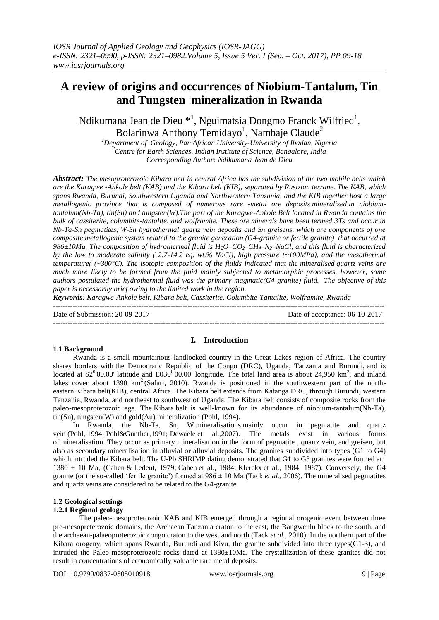# **A review of origins and occurrences of Niobium-Tantalum, Tin and Tungsten mineralization in Rwanda**

Ndikumana Jean de Dieu \*<sup>1</sup>, Nguimatsia Dongmo Franck Wilfried<sup>1</sup>, Bolarinwa Anthony Temidayo<sup>1</sup>, Nambaje Claude<sup>2</sup>

*<sup>1</sup>Department of Geology, Pan African University-University of Ibadan, Nigeria <sup>2</sup>Centre for Earth Sciences, Indian Institute of Science, Bangalore, India Corresponding Author: Ndikumana Jean de Dieu*

*Abstract: The mesoproterozoic Kibara belt in central Africa has the subdivision of the two mobile belts which are the Karagwe -Ankole belt (KAB) and the Kibara belt (KIB), separated by Rusizian terrane. The KAB, which spans Rwanda, Burundi, Southwestern Uganda and Northwestern Tanzania, and the KIB together host a large metallogenic province that is composed of numerous rare -metal ore deposits mineralised in niobiumtantalum(Nb-Ta), tin(Sn) and tungsten(W).The part of the Karagwe-Ankole Belt located in Rwanda contains the bulk of cassiterite, columbite-tantalite, and wolframite. These ore minerals have been termed 3Ts and occur in Nb-Ta-Sn pegmatites, W-Sn hydrothermal quartz vein deposits and Sn greisens, which are components of one composite metallogenic system related to the granite generation (G4-granite or fertile granite) that occurred at 986±10Ma. The composition of hydrothermal fluid is H2O–CO2–CH4–N2–NaCl, and this fluid is characterized by the low to moderate salinity ( 2.7-14.2 eq. wt.% NaCl), high pressure (~100MPa), and the mesothermal temperature( (~300°C). The isotopic composition of the fluids indicated that the mineralised quartz veins are much more likely to be formed from the fluid mainly subjected to metamorphic processes, however, some authors postulated the hydrothermal fluid was the primary magmatic(G4 granite) fluid. The objective of this paper is necessarily brief owing to the limited work in the region.*

*Keywords: Karagwe-Ankole belt, Kibara belt, Cassiterite, Columbite-Tantalite, Wolframite, Rwanda*

---------------------------------------------------------------------------------------------------------------------------------------

Date of Submission: 20-09-2017 Date of acceptance: 06-10-2017

#### **1.1 Background**

### **I. Introduction**

---------------------------------------------------------------------------------------------------------------------------------------

Rwanda is a small mountainous landlocked country in the Great Lakes region of Africa. The country shares borders with the Democratic Republic of the Congo (DRC), Uganda, Tanzania and Burundi, and is located at  $S2^000.00'$  latitude and E030<sup>0</sup>00.00' longitude. The total land area is about 24,950 km<sup>2</sup>, and inland lakes cover about 1390  $km^2$  (Safari, 2010). Rwanda is positioned in the southwestern part of the northeastern Kibara belt(KIB), central Africa. The Kibara belt extends from Katanga DRC, through Burundi, western Tanzania, Rwanda, and northeast to southwest of Uganda. The Kibara belt consists of composite rocks from the paleo-mesoproterozoic age. The Kibara belt is well-known for its abundance of niobium-tantalum(Nb-Ta), tin(Sn), tungsten(W) and gold(Au) mineralization (Pohl, 1994).

In Rwanda, the Nb-Ta, Sn, W mineralisations mainly occur in pegmatite and quartz vein (Pohl, 1994; Pohl&Günther,1991; Dewaele et al.,2007). The metals exist in various forms of mineralisation. They occur as primary mineralisation in the form of pegmatite , quartz vein, and greisen, but also as secondary mineralisation in alluvial or alluvial deposits. The granites subdivided into types (G1 to G4) which intruded the Kibara belt. The U-Pb SHRIMP dating demonstrated that G1 to G3 granites were formed at  $1380 \pm 10$  Ma, (Cahen & Ledent, 1979; Cahen et al., 1984; Klerckx et al., 1984, 1987). Conversely, the G4 granite (or the so-called 'fertile granite') formed at  $986 \pm 10$  Ma (Tack *et al.*, 2006). The mineralised pegmatites and quartz veins are considered to be related to the G4-granite.

# **1.2 Geological settings**

### **1.2.1 Regional geology**

The paleo-mesoproterozoic KAB and KIB emerged through a regional orogenic event between three pre-mesopreterozoic domains, the Archaean Tanzania craton to the east, the Bangweulu block to the south, and the archaean-palaeoproterozoic congo craton to the west and north (Tack *et al.*, 2010). In the northern part of the Kibara orogeny, which spans Rwanda, Burundi and Kivu, the granite subdivided into three types( $G1-3$ ), and intruded the Paleo-mesoproterozoic rocks dated at 1380±10Ma. The crystallization of these granites did not result in concentrations of economically valuable rare metal deposits.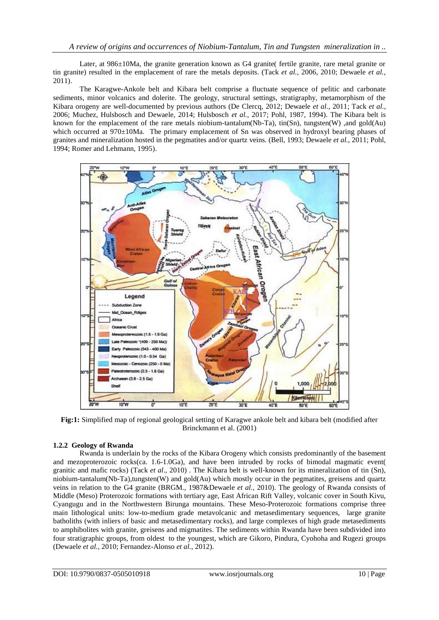Later, at 986 $\pm$ 10Ma, the granite generation known as G4 granite fertile granite, rare metal granite or tin granite) resulted in the emplacement of rare the metals deposits. (Tack *et al.*, 2006, 2010; Dewaele *et al.*, 2011).

The Karagwe-Ankole belt and Kibara belt comprise a fluctuate sequence of pelitic and carbonate sediments, minor volcanics and dolerite. The geology, structural settings, stratigraphy, metamorphism of the Kibara orogeny are well-documented by previous authors (De Clercq, 2012; Dewaele *et al.*, 2011; Tack *et al.*, 2006; Muchez, Hulsbosch and Dewaele, 2014; Hulsbosch *et al.*, 2017; Pohl, 1987, 1994). The Kibara belt is known for the emplacement of the rare metals niobium-tantalum(Nb-Ta), tin(Sn), tungsten(W) ,and gold(Au) which occurred at 970±10Ma. The primary emplacement of Sn was observed in hydroxyl bearing phases of granites and mineralization hosted in the pegmatites and/or quartz veins. (Bell, 1993; Dewaele *et al.*, 2011; Pohl, 1994; Romer and Lehmann, 1995).



**Fig:1:** Simplified map of regional geological setting of Karagwe ankole belt and kibara belt (modified after Brinckmann et al. (2001)

### **1.2.2 Geology of Rwanda**

Rwanda is underlain by the rocks of the Kibara Orogeny which consists predominantly of the basement and mezoproterozoic rocks(ca. 1.6-1.0Ga), and have been intruded by rocks of bimodal magmatic event( granitic and mafic rocks) (Tack *et al*., 2010) . The Kibara belt is well-known for its mineralization of tin (Sn), niobium-tantalum(Nb-Ta),tungsten(W) and gold(Au) which mostly occur in the pegmatites, greisens and quartz veins in relation to the G4 granite (BRGM., 1987&Dewaele *et al.*, 2010). The geology of Rwanda consists of Middle (Meso) Proterozoic formations with tertiary age, East African Rift Valley, volcanic cover in South Kivu, Cyangugu and in the Northwestern Birunga mountains. These Meso-Proterozoic formations comprise three main lithological units: low-to-medium grade metavolcanic and metasedimentary sequences, large granite batholiths (with inliers of basic and metasedimentary rocks), and large complexes of high grade metasediments to amphibolites with granite, greisens and migmatites. The sediments within Rwanda have been subdivided into four stratigraphic groups, from oldest to the youngest, which are Gikoro, Pindura, Cyohoha and Rugezi groups (Dewaele *et al.*, 2010; Fernandez-Alonso *et al.*, 2012).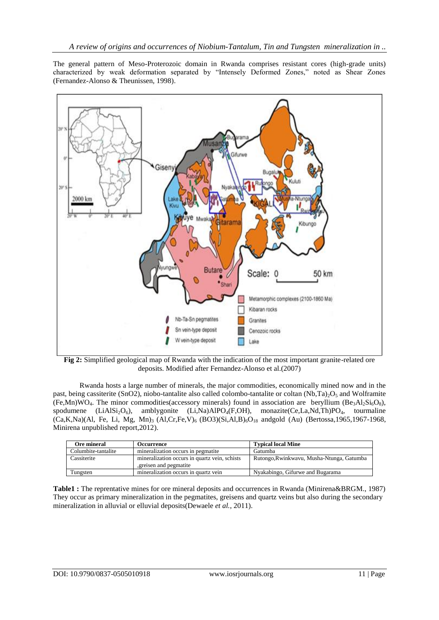The general pattern of Meso-Proterozoic domain in Rwanda comprises resistant cores (high-grade units) characterized by weak deformation separated by "Intensely Deformed Zones," noted as Shear Zones (Fernandez-Alonso & Theunissen, 1998).



**Fig 2:** Simplified geological map of Rwanda with the indication of the most important granite-related ore deposits. Modified after Fernandez-Alonso et al.(2007)

Rwanda hosts a large number of minerals, the major commodities, economically mined now and in the past, being cassiterite (SnO2), niobo-tantalite also called colombo-tantalite or coltan (Nb,Ta)<sub>2</sub>O<sub>5</sub> and Wolframite (Fe,Mn)WO<sub>4</sub>. The minor commodities(accessory minerals) found in association are beryllium (Be<sub>3</sub>Al<sub>2</sub>Si<sub>6</sub>O<sub>8</sub>), spodumene (LiAlSi<sub>2</sub>O<sub>6</sub>), amblygonite (Li,Na)AlPO<sub>4</sub>(F,OH), monazite(Ce,La,Nd,Th)PO<sub>4</sub>, tourmaline  $(Ca,K,Na)(Al, Fe, Li, Mg, Mn)<sub>3</sub> (Al,Cr,Fe,V)<sub>6</sub> (BO3)(Si,Al,B)<sub>6</sub>O<sub>18</sub> and gold (Au) (Bertossa,1965,1967-1968,$ Minirena unpublished report,2012).

| Ore mineral         | Occurrence                                                               | <b>Typical local Mine</b>                 |
|---------------------|--------------------------------------------------------------------------|-------------------------------------------|
| Columbite-tantalite | mineralization occurs in pegmatite                                       | Gatumba                                   |
| Cassiterite         | mineralization occurs in quartz vein, schists<br>, greisen and pegmatite | Rutongo, Rwinkwayu, Musha-Ntunga, Gatumba |
| Tungsten            | mineralization occurs in quartz vein                                     | Nyakabingo, Gifurwe and Bugarama          |

**Table1 :** The reprentative mines for ore mineral deposits and occurrences in Rwanda (Minirena&BRGM., 1987) They occur as primary mineralization in the pegmatites, greisens and quartz veins but also during the secondary mineralization in alluvial or elluvial deposits(Dewaele *et al.*, 2011).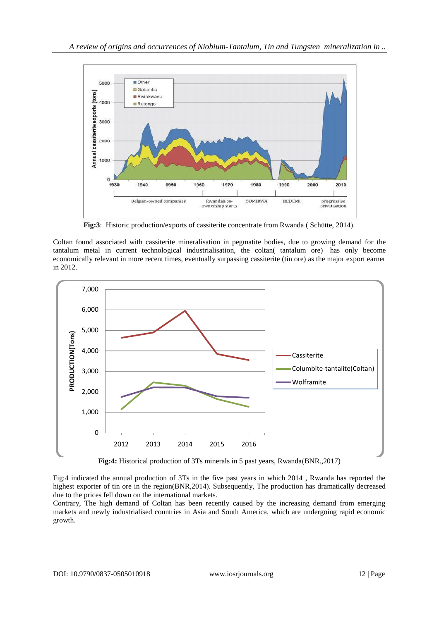

**Fig:3**: Historic production/exports of cassiterite concentrate from Rwanda ( Schütte, 2014).

Coltan found associated with cassiterite mineralisation in pegmatite bodies, due to growing demand for the tantalum metal in current technological industrialisation, the coltan( tantalum ore) has only become economically relevant in more recent times, eventually surpassing cassiterite (tin ore) as the major export earner in 2012.



**Fig:4:** Historical production of 3Ts minerals in 5 past years, Rwanda(BNR.,2017)

Fig:4 indicated the annual production of 3Ts in the five past years in which 2014 , Rwanda has reported the highest exporter of tin ore in the region(BNR,2014). Subsequently, The production has dramatically decreased due to the prices fell down on the international markets.

Contrary, The high demand of Coltan has been recently caused by the increasing demand from emerging markets and newly industrialised countries in Asia and South America, which are undergoing rapid economic growth.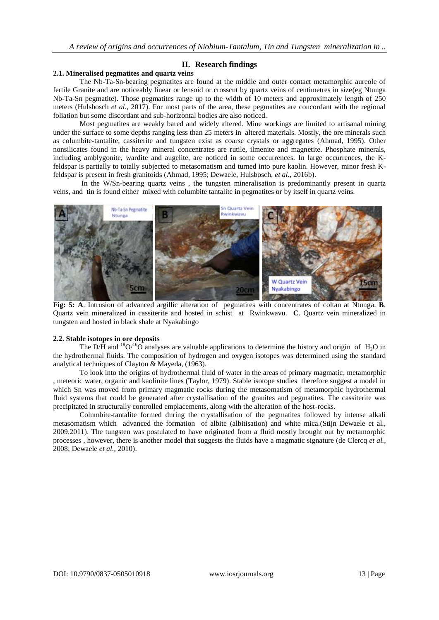## **II. Research findings**

#### **2.1. Mineralised pegmatites and quartz veins**

The Nb-Ta-Sn-bearing pegmatites are found at the middle and outer contact metamorphic aureole of fertile Granite and are noticeably linear or lensoid or crosscut by quartz veins of centimetres in size(eg Ntunga Nb-Ta-Sn pegmatite). Those pegmatites range up to the width of 10 meters and approximately length of 250 meters (Hulsbosch *et al.*, 2017). For most parts of the area, these pegmatites are concordant with the regional foliation but some discordant and sub-horizontal bodies are also noticed.

Most pegmatites are weakly bared and widely altered. Mine workings are limited to artisanal mining under the surface to some depths ranging less than 25 meters in altered materials. Mostly, the ore minerals such as columbite-tantalite, cassiterite and tungsten exist as coarse crystals or aggregates (Ahmad, 1995). Other nonsilicates found in the heavy mineral concentrates are rutile, ilmenite and magnetite. Phosphate minerals, including amblygonite, wardite and augelite, are noticed in some occurrences. In large occurrences, the Kfeldspar is partially to totally subjected to metasomatism and turned into pure kaolin. However, minor fresh Kfeldspar is present in fresh granitoids (Ahmad, 1995; Dewaele, Hulsbosch, *et al.*, 2016b).

In the W/Sn-bearing quartz veins , the tungsten mineralisation is predominantly present in quartz veins, and tin is found either mixed with columbite tantalite in pegmatites or by itself in quartz veins.



**Fig: 5: A**. Intrusion of advanced argillic alteration of pegmatites with concentrates of coltan at Ntunga. **B**. Quartz vein mineralized in cassiterite and hosted in schist at Rwinkwavu. **C**. Quartz vein mineralized in tungsten and hosted in black shale at Nyakabingo

#### **2.2. Stable isotopes in ore deposits**

The D/H and <sup>18</sup>O/<sup>16</sup>O analyses are valuable applications to determine the history and origin of H<sub>2</sub>O in the hydrothermal fluids. The composition of hydrogen and oxygen isotopes was determined using the standard analytical techniques of Clayton & Mayeda, (1963).

To look into the origins of hydrothermal fluid of water in the areas of primary magmatic, metamorphic , meteoric water, organic and kaolinite lines (Taylor, 1979). Stable isotope studies therefore suggest a model in which Sn was moved from primary magmatic rocks during the metasomatism of metamorphic hydrothermal fluid systems that could be generated after crystallisation of the granites and pegmatites. The cassiterite was precipitated in structurally controlled emplacements, along with the alteration of the host-rocks.

Columbite-tantalite formed during the crystallisation of the pegmatites followed by intense alkali metasomatism which advanced the formation of albite (albitisation) and white mica.(Stijn Dewaele et al., 2009,2011). The tungsten was postulated to have originated from a fluid mostly brought out by metamorphic processes , however, there is another model that suggests the fluids have a magmatic signature (de Clercq *et al.*, 2008; Dewaele *et al.*, 2010).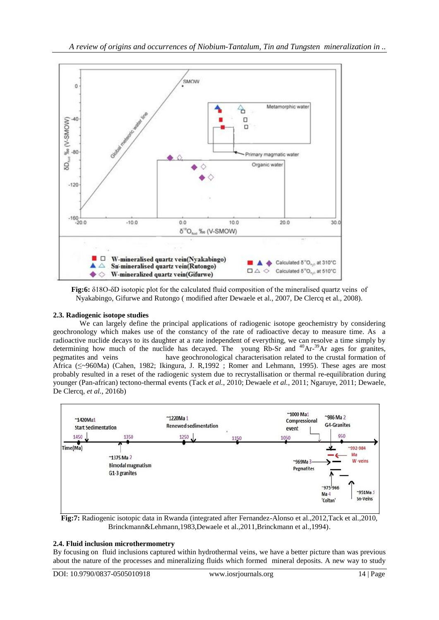

**Fig:6:** δ18O-δD isotopic plot for the calculated fluid composition of the mineralised quartz veins of Nyakabingo, Gifurwe and Rutongo ( modified after Dewaele et al., 2007, De Clercq et al., 2008).

# **2.3. Radiogenic isotope studies**

We can largely define the principal applications of radiogenic isotope geochemistry by considering geochronology which makes use of the constancy of the rate of radioactive decay to measure time. As a radioactive nuclide decays to its daughter at a rate independent of everything, we can resolve a time simply by determining how much of the nuclide has decayed. The young  $Rb$ -Sr and  $40Ar^{-39}Ar$  ages for granites, pegmatites and veins have geochronological characterisation related to the crustal formation of Africa (≤~960Ma) (Cahen, 1982; Ikingura, J. R,1992 ; Romer and Lehmann, 1995). These ages are most probably resulted in a reset of the radiogenic system due to recrystallisation or thermal re-equilibration during younger (Pan-african) tectono-thermal events (Tack *et al.*, 2010; Dewaele *et al.*, 2011; Ngaruye, 2011; Dewaele, De Clercq, *et al.*, 2016b)



**Fig:7:** Radiogenic isotopic data in Rwanda (integrated after Fernandez-Alonso et al.,2012,Tack et al.,2010, Brinckmann&Lehmann,1983,Dewaele et al.,2011,Brinckmann et al.,1994).

# **2.4. Fluid inclusion microthermometry**

By focusing on fluid inclusions captured within hydrothermal veins, we have a better picture than was previous about the nature of the processes and mineralizing fluids which formed mineral deposits. A new way to study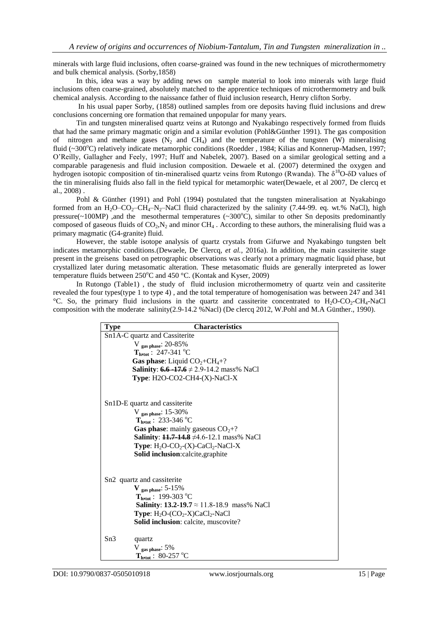minerals with large fluid inclusions, often coarse-grained was found in the new techniques of microthermometry and bulk chemical analysis. (Sorby,1858)

In this, idea was a way by adding news on sample material to look into minerals with large fluid inclusions often coarse-grained, absolutely matched to the apprentice techniques of microthermometry and bulk chemical analysis. According to the naissance father of fluid inclusion research, Henry clifton Sorby.

In his usual paper Sorby, (1858) outlined samples from ore deposits having fluid inclusions and drew conclusions concerning ore formation that remained unpopular for many years.

Tin and tungsten mineralised quartz veins at Rutongo and Nyakabingo respectively formed from fluids that had the same primary magmatic origin and a similar evolution (Pohl&Günther 1991). The gas composition of nitrogen and methane gases  $(N_2 \text{ and } CH_4)$  and the temperature of the tungsten (W) mineralising fluid (~300°C) relatively indicate metamorphic conditions (Roedder, 1984; Kilias and Konnerup-Madsen, 1997; O'Reilly, Gallagher and Feely, 1997; Huff and Nabelek, 2007). Based on a similar geological setting and a comparable paragenesis and fluid inclusion composition. Dewaele et al. (2007) determined the oxygen and hydrogen isotopic composition of tin-mineralised quartz veins from Rutongo (Rwanda). The  $\delta^{18}O-\delta D$  values of the tin mineralising fluids also fall in the field typical for metamorphic water(Dewaele, et al 2007, De clercq et al., 2008) .

Pohl & Günther (1991) and Pohl (1994) postulated that the tungsten mineralisation at Nyakabingo formed from an H<sub>2</sub>O–CO<sub>2</sub>–CH<sub>4</sub>–N<sub>2</sub>–NaCl fluid characterized by the salinity (7.44-99. eq. wt.% NaCl), high pressure( $\sim$ 100MP) ,and the mesothermal temperatures ( $\sim$ 300 $^{\circ}$ C), similar to other Sn deposits predominantly composed of gaseous fluids of  $CO<sub>2</sub>, N<sub>2</sub>$  and minor  $CH<sub>4</sub>$ . According to these authors, the mineralising fluid was a primary magmatic (G4-granite) fluid.

However, the stable isotope analysis of quartz crystals from Gifurwe and Nyakabingo tungsten belt indicates metamorphic conditions.(Dewaele, De Clercq, *et al.*, 2016a). In addition, the main cassiterite stage present in the greisens based on petrographic observations was clearly not a primary magmatic liquid phase, but crystallized later during metasomatic alteration. These metasomatic fluids are generally interpreted as lower temperature fluids between  $250^{\circ}$ C and  $450^{\circ}$ C. (Kontak and Kyser, 2009)

In Rutongo (Table1) , the study of fluid inclusion microthermometry of quartz vein and cassiterite revealed the four types(type 1 to type 4) , and the total temperature of homogenisation was between 247 and 341 °C. So, the primary fluid inclusions in the quartz and cassiterite concentrated to  $H_2O-CO_2-CH_4-NaCl$ composition with the moderate salinity(2.9-14.2 %Nacl) (De clercq 2012, W.Pohl and M.A Günther., 1990).

| <b>Type</b>                            | <b>Characteristics</b>                                                                                                                                                                                                                                                                              |
|----------------------------------------|-----------------------------------------------------------------------------------------------------------------------------------------------------------------------------------------------------------------------------------------------------------------------------------------------------|
| Sn1A-C quartz and Cassiterite          |                                                                                                                                                                                                                                                                                                     |
|                                        | V gas phase: $20-85%$                                                                                                                                                                                                                                                                               |
|                                        | $T_{\text{h,tot}}$ : 247-341 °C                                                                                                                                                                                                                                                                     |
|                                        | <b>Gas phase:</b> Liquid $CO2+CH4+?$                                                                                                                                                                                                                                                                |
|                                        | <b>Salinity:</b> 6.6 -17.6 $\neq$ 2.9-14.2 mass% NaCl                                                                                                                                                                                                                                               |
|                                        | Type: $H2O-CO2-CH4-(X)-NaCl-X$                                                                                                                                                                                                                                                                      |
|                                        | Sn1D-E quartz and cassiterite<br>V gas phase: $15-30\%$<br>$T_{\text{hytot}}$ : 233-346 °C<br><b>Gas phase:</b> mainly gaseous $CO2+?$<br><b>Salinity:</b> $11.7 - 14.8 \neq 4.6 - 12.1$ mass% NaCl<br><b>Type:</b> $H_2O$ - $CO_2$ - $(X)$ - $CaCl_2$ -NaCl-X<br>Solid inclusion:calcite, graphite |
| Sn <sub>2</sub> quartz and cassiterite |                                                                                                                                                                                                                                                                                                     |
|                                        | $V_{gas phase}: 5-15%$                                                                                                                                                                                                                                                                              |
|                                        | $T_{\text{hstot}}$ : 199-303 °C                                                                                                                                                                                                                                                                     |
|                                        | <b>Salinity: 13.2-19.7</b> $\approx$ 11.8-18.9 mass% NaCl                                                                                                                                                                                                                                           |
|                                        | <b>Type:</b> $H_2O$ - $(CO_2$ -X $)CaCl_2$ -NaCl                                                                                                                                                                                                                                                    |
|                                        | Solid inclusion: calcite, muscovite?                                                                                                                                                                                                                                                                |
| Sn3                                    | quartz                                                                                                                                                                                                                                                                                              |
|                                        | $V_{gas phase}: 5\%$                                                                                                                                                                                                                                                                                |
|                                        | $T_{h, tot}$ : 80-257 °C                                                                                                                                                                                                                                                                            |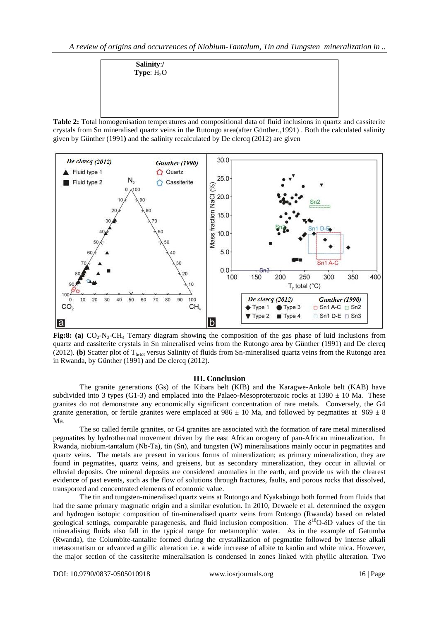**Salinity**:**/ Type**: H<sub>2</sub>O

**Table 2:** Total homogenisation temperatures and compositional data of fluid inclusions in quartz and cassiterite crystals from Sn mineralised quartz veins in the Rutongo area(after Günther.,1991) . Both the calculated salinity given by Günther (1991**)** and the salinity recalculated by De clercq (2012) are given



**Fig:8: (a)**  $CO_2-N_2-CH_4$  Ternary diagram showing the composition of the gas phase of luid inclusions from quartz and cassiterite crystals in Sn mineralised veins from the Rutongo area by Günther (1991) and De clercq (2012). **(b)** Scatter plot of T<sub>h,tot</sub> versus Salinity of fluids from Sn-mineralised quartz veins from the Rutongo area in Rwanda, by Günther (1991) and De clercq (2012).

### **III. Conclusion**

The granite generations (Gs) of the Kibara belt (KIB) and the Karagwe-Ankole belt (KAB) have subdivided into 3 types (G1-3) and emplaced into the Palaeo-Mesoproterozoic rocks at  $1380 \pm 10$  Ma. These granites do not demonstrate any economically significant concentration of rare metals. Conversely, the G4 granite generation, or fertile granites were emplaced at  $986 \pm 10$  Ma, and followed by pegmatites at  $969 \pm 8$ Ma.

The so called fertile granites, or G4 granites are associated with the formation of rare metal mineralised pegmatites by hydrothermal movement driven by the east African orogeny of pan-African mineralization. In Rwanda, niobium-tantalum (Nb-Ta), tin (Sn), and tungsten (W) mineralisations mainly occur in pegmatites and quartz veins. The metals are present in various forms of mineralization; as primary mineralization, they are found in pegmatites, quartz veins, and greisens, but as secondary mineralization, they occur in alluvial or elluvial deposits. Ore mineral deposits are considered anomalies in the earth, and provide us with the clearest evidence of past events, such as the flow of solutions through fractures, faults, and porous rocks that dissolved, transported and concentrated elements of economic value.

The tin and tungsten-mineralised quartz veins at Rutongo and Nyakabingo both formed from fluids that had the same primary magmatic origin and a similar evolution. In 2010, Dewaele et al. determined the oxygen and hydrogen isotopic composition of tin-mineralised quartz veins from Rutongo (Rwanda) based on related geological settings, comparable paragenesis, and fluid inclusion composition. The  $\delta^{18}O-\delta D$  values of the tin mineralising fluids also fall in the typical range for metamorphic water. As in the example of Gatumba (Rwanda), the Columbite-tantalite formed during the crystallization of pegmatite followed by intense alkali metasomatism or advanced argillic alteration i.e. a wide increase of albite to kaolin and white mica. However, the major section of the cassiterite mineralisation is condensed in zones linked with phyllic alteration. Two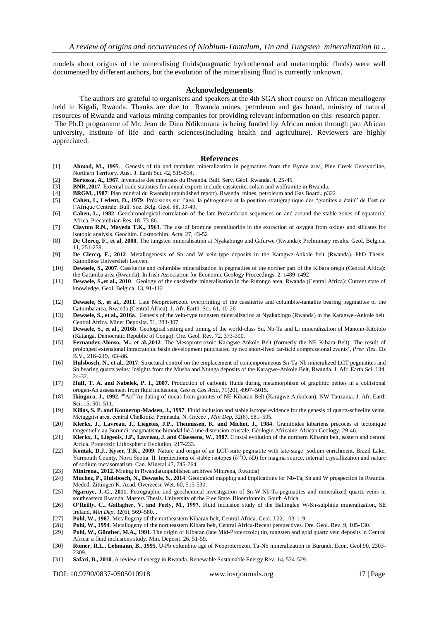models about origins of the mineralising fluids(magmatic hydrothermal and metamorphic fluids) were well documented by different authors, but the evolution of the mineralising fluid is currently unknown.

#### **Acknowledgements**

The authors are grateful to organisers and speakers at the 4th SGA short course on African metallogeny held in Kigali, Rwanda. Thanks are due to Rwanda mines, petroleum and gas board, ministry of natural resources of Rwanda and various mining companies for providing relevant information on this research paper.

The Ph.D programme of Mr. Jean de Dieu Ndikumana is being funded by African union through pan African university, institute of life and earth sciences(including health and agriculture). Reviewers are highly appreciated.

#### **References**

- [1] **Ahmad, M., 1995**. Genesis of tin and tantalum mineralization in pegmatites from the Bynoe area, Pine Creek Geosyncline, Northern Territory. Aust. J. Earth Sci. 42, 519-534.
- [2] **Bertossa, A., 1967**. Inventaire des minéraux du Rwanda. Bull. Serv. Géol. Rwanda. 4, 25-45.
- [3] **BNR.,2017**. External trade statistics for annual exports include cassiterite, coltan and wolframite in Rwanda.
- [4] **BRGM. ,1987**. Plan minéral du Rwanda(unpublished report). Rwanda mines, petroleum and Gas Board., p322
- Cahen, L, Ledent, D., 1979. Précisions sur l'age, la pétrogenèse et la position stratigraphique des "granites a étain" de l'est de l'Afrique Centrale. Bull. Soc. Belg. Géol. 88, 33-49.
- [6] **Cahen, L., 1982**. Geochronological correlation of the late Precambrian sequences on and around the stable zones of equatorial Africa. Precambrian Res. 18, 73-86.
- [7] **Clayton R.N., Mayeda T.K., 1963**. The use of bromine pentafluoride in the extraction of oxygen from oxides and silicates for isotopic analysis. Geochim. Cosmochim. Acta. 27, 43-52
- [8] **De Clercq, F., et al, 2008**. The tungsten mineralisation at Nyakabingo and Gifurwe (Rwanda): Preliminary results. Geol. Belgica. 11, 251-258.
- [9] **De Clercq, F., 2012**. Metallogenesis of Sn and W vein-type deposits in the Karagwe-Ankole belt (Rwanda). PhD Thesis. Katholieke Universiteit Leuven.
- [10] **Dewaele, S., 2007**. Cassiterite and columbite mineralization in pegmatites of the norther part of the Kibara oregn (Central Aftica): the Gatumba area (Rwanda). In Irish Association for Economic Geology Proceedings. 2, 1489-1492
- [11] **Dewaele, S.,et al., 2010**. Geology of the cassiterite mineralisation in the Rutongo area, Rwanda (Central Africa): Current state of knowledge. Geol. Belgica. 13, 91-112
- [12] **Dewaele, S., et al., 2011**. Late Neoproterozoic overprinting of the cassiterite and columbite-tantalite bearing pegmatites of the Gatumba area, Rwanda (Central Africa). J. Afr. Earth. Sci. 61, 10-26
- [13] **Dewaele, S., et al., 2016a**. Genesis of the vein-type tungsten mineralization at Nyakabingo (Rwanda) in the Karagwe–Ankole belt. Central Africa. Miner Deposita. 51, 283-307.
- [14] **Dewaele, S., et al., 2016b**. Geological setting and timing of the world-class Sn, Nb-Ta and Li mineralization of Manono-Kitotolo (Katanga, Democratic Republic of Congo). Ore. Geol. Rev. 72, 373-390.
- [15] **Fernandez-Alonso, M., et al.,2012**. The Mesoproterozoic Karagwe-Ankole Belt (formerly the NE Kibara Belt): The result of prolonged extensional intracratonic basin development punctuated by two short-lived far-field compressional events', *Prec Res*. Els B.V., 216–219,. 63–86.
- [16] **Hulsbosch, N., et al., 2017**. Structural control on the emplacement of contemporaneous Sn-Ta-Nb mineralized LCT pegmatites and Sn bearing quartz veins: Insights from the Musha and Ntunga deposits of the Karagwe-Ankole Belt, Rwanda. J. Afr. Earth Sci. 134, 24-32.
- [17] **Huff, T. A. and Nabelek, P. I., 2007.** Production of carbonic fluids during metamorphism of graphitic pelites in a collisional orogen-An assessment from fluid inclusions, *Geo et Cos Acta*, 71(20), 4997–5015.
- [18] **Ikingura, J., 1992**. <sup>40</sup>Ar/<sup>39</sup>Ar dating of micas from granites of NE Kibaran Belt (Karagwe-Ankolean), NW Tanzania. J. Afr. Earth Sci. 15, 501-511.
- [19] **Kilias, S. P. and Konnerup-Madsen, J., 1997**. Fluid inclusion and stable isotope evidence for the genesis of quartz-scheelite veins, Metaggitsi area, central Chalkidiki Peninsula, N. Greece', *Min Dep*, 32(6), 581–595.
- [20] **Klerkx, J., Lavreau, J., Liégeois, J.P., Theunissen, K. and Michot, J., 1984**. Granitoides kibariens précoces et tectonique tangentielle au Burundi: magmatisme bimodal lié à une distension crustale. Géologie Africaine-African Geology, 29-46.
- [21] **Klerkx, J., Liégeois, J.P., Lavreau, J. and Claessens, W., 1987.** Crustal evolution of the northern Kibaran belt, eastern and central Africa. Proterozic Lithospheric Evolution, 217-233.
- [22] **Kontak, D.J., Kyser, T.K., 2009**. Nature and origin of an LCT-suite pegmatite with late-stage sodium enrichment, Brazil Lake, Yarmouth County, Nova Scotia. II. Implications of stable isotopes (δ<sup>18</sup>O, δD) for magma source, internal crystallization and nature of sodium metasomatism. Can. Mineral.47, 745-764.
- [23] **Minirena., 2012**. Mining in Rwanda(unpublished archives Minirena, Rwanda)
- [24] **Muchez, P., Hulsbosch, N., Dewaele, S., 2014**. Geological mapping and implications for Nb-Ta, Sn and W prospection in Rwanda. Meded. Zittingen K. Acad. Overzeese Wet. 60, 515-530.
- [25] **Ngaruye, J.-C., 2011**. Petrographic and geochemical investigation of Sn-W-Nb-Ta-pegmatites and mineralized quartz veins in southeastern Rwanda. Masters Thesis. University of the Free State. Bloemfontein, South Africa.
- [26] **O'Reilly, C., Gallagher, V. and Feely, M., 1997**. Fluid inclusion study of the Ballinglen W-Sn-sulphide mineralization, SE Ireland, *Min Dep*, 32(6), 569–580. .
- [27] **Pohl, W., 1987**. Metallogeny of the northeastern Kibaran belt, Central Africa. Geol. J.22, 103-119.
- [28] **Pohl, W., 1994**. Metallogeny of the northeastern Kibara belt, Central Africa-Recent perspectives. Ore. Geol. Rev. 9, 105-130.
- [29] **Pohl, W., Günther, M.A., 1991**. The origin of Kibaran (late Mid-Proterozoic) tin, tungsten and gold quartz vein deposits in Central Africa: a fluid inclusions study. Min. Deposit. 26, 51-59.
- [30] **Romer, R.L., Lehmann, B., 1995**. U-Pb columbite age of Neoproterozoic Ta-Nb mineralization in Burundi. Econ. Geol.90, 2303- 2309.
- [31] **Safari, B., 2010**. A review of energy in Rwanda. Renewable Sustainable Energy Rev. 14, 524-529.